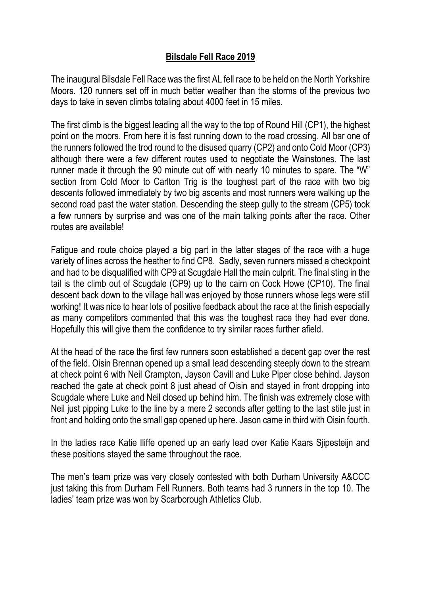## **Bilsdale Fell Race 2019**

The inaugural Bilsdale Fell Race was the first AL fell race to be held on the North Yorkshire Moors. 120 runners set off in much better weather than the storms of the previous two days to take in seven climbs totaling about 4000 feet in 15 miles.

The first climb is the biggest leading all the way to the top of Round Hill (CP1), the highest point on the moors. From here it is fast running down to the road crossing. All bar one of the runners followed the trod round to the disused quarry (CP2) and onto Cold Moor (CP3) although there were a few different routes used to negotiate the Wainstones. The last runner made it through the 90 minute cut off with nearly 10 minutes to spare. The "W" section from Cold Moor to Carlton Trig is the toughest part of the race with two big descents followed immediately by two big ascents and most runners were walking up the second road past the water station. Descending the steep gully to the stream (CP5) took a few runners by surprise and was one of the main talking points after the race. Other routes are available!

Fatigue and route choice played a big part in the latter stages of the race with a huge variety of lines across the heather to find CP8. Sadly, seven runners missed a checkpoint and had to be disqualified with CP9 at Scugdale Hall the main culprit. The final sting in the tail is the climb out of Scugdale (CP9) up to the cairn on Cock Howe (CP10). The final descent back down to the village hall was enjoyed by those runners whose legs were still working! It was nice to hear lots of positive feedback about the race at the finish especially as many competitors commented that this was the toughest race they had ever done. Hopefully this will give them the confidence to try similar races further afield.

At the head of the race the first few runners soon established a decent gap over the rest of the field. Oisin Brennan opened up a small lead descending steeply down to the stream at check point 6 with Neil Crampton, Jayson Cavill and Luke Piper close behind. Jayson reached the gate at check point 8 just ahead of Oisin and stayed in front dropping into Scugdale where Luke and Neil closed up behind him. The finish was extremely close with Neil just pipping Luke to the line by a mere 2 seconds after getting to the last stile just in front and holding onto the small gap opened up here. Jason came in third with Oisin fourth.

In the ladies race Katie Iliffe opened up an early lead over Katie Kaars Sjipesteijn and these positions stayed the same throughout the race.

The men's team prize was very closely contested with both Durham University A&CCC just taking this from Durham Fell Runners. Both teams had 3 runners in the top 10. The ladies' team prize was won by Scarborough Athletics Club.